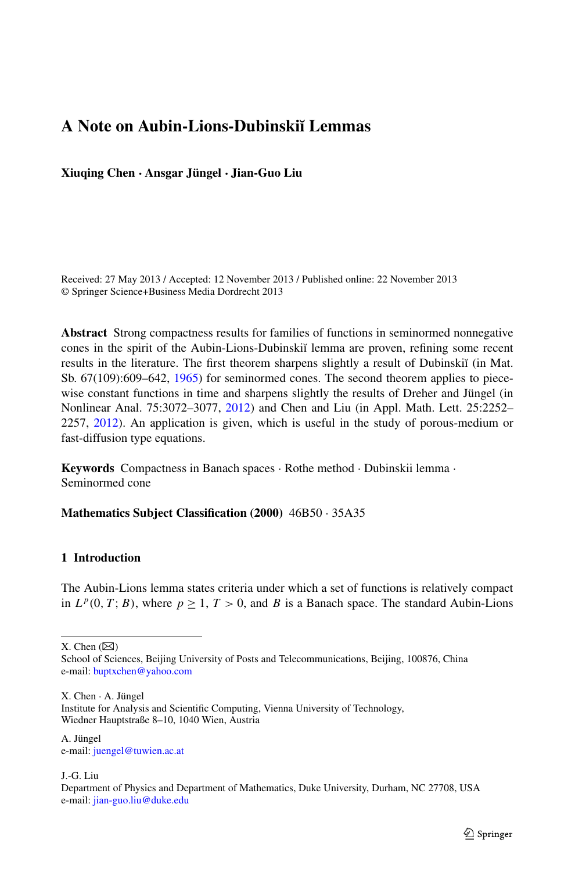# **A Note on Aubin-Lions-Dubinski˘ı Lemmas**

**Xiuqing Chen · Ansgar Jüngel · Jian-Guo Liu**

Received: 27 May 2013 / Accepted: 12 November 2013 / Published online: 22 November 2013 © Springer Science+Business Media Dordrecht 2013

**Abstract** Strong compactness results for families of functions in seminormed nonnegative cones in the spirit of the Aubin-Lions-Dubinski˘ı lemma are proven, refining some recent results in the literature. The first theorem sharpens slightly a result of Dubinskiĭ (in Mat. Sb. 67(109):609–642, [1965\)](#page-10-0) for seminormed cones. The second theorem applies to piecewise constant functions in time and sharpens slightly the results of Dreher and Jüngel (in Nonlinear Anal. 75:3072–3077, [2012](#page-10-1)) and Chen and Liu (in Appl. Math. Lett. 25:2252– 2257, [2012\)](#page-10-2). An application is given, which is useful in the study of porous-medium or fast-diffusion type equations.

**Keywords** Compactness in Banach spaces · Rothe method · Dubinskii lemma · Seminormed cone

**Mathematics Subject Classification (2000)** 46B50 · 35A35

## **1 Introduction**

The Aubin-Lions lemma states criteria under which a set of functions is relatively compact in  $L^p(0, T; B)$ , where  $p > 1$ ,  $T > 0$ , and B is a Banach space. The standard Aubin-Lions

X. Chen  $(\boxtimes)$ 

X. Chen · A. Jüngel

A. Jüngel e-mail: [juengel@tuwien.ac.at](mailto:juengel@tuwien.ac.at)

J.-G. Liu

School of Sciences, Beijing University of Posts and Telecommunications, Beijing, 100876, China e-mail: [buptxchen@yahoo.com](mailto:buptxchen@yahoo.com)

Institute for Analysis and Scientific Computing, Vienna University of Technology, Wiedner Hauptstraße 8–10, 1040 Wien, Austria

Department of Physics and Department of Mathematics, Duke University, Durham, NC 27708, USA e-mail: [jian-guo.liu@duke.edu](mailto:jian-guo.liu@duke.edu)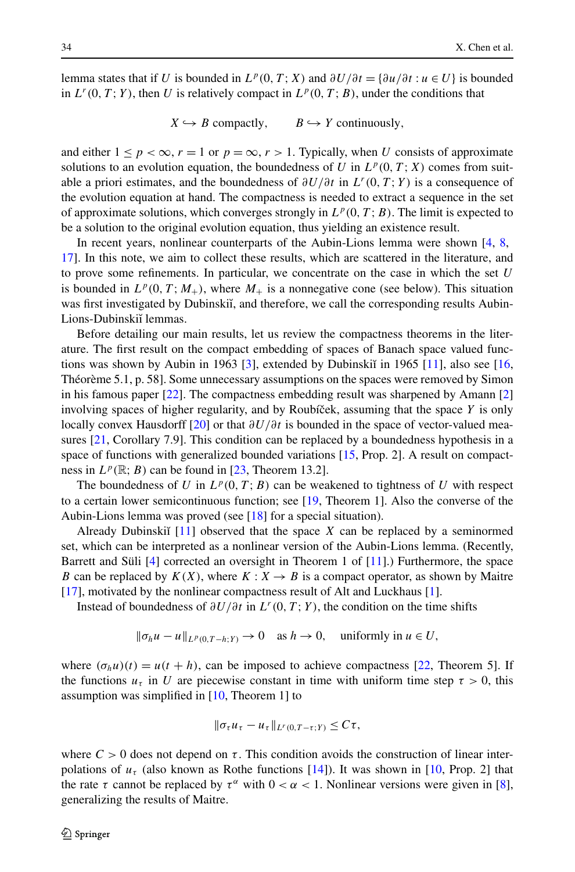lemma states that if *U* is bounded in  $L^p(0, T; X)$  and  $\frac{\partial U}{\partial t} = {\partial u / \partial t : u \in U}$  is bounded in  $L^r(0, T; Y)$ , then U is relatively compact in  $L^p(0, T; B)$ , under the conditions that

 $X \hookrightarrow B$  compactly,  $B \hookrightarrow Y$  continuously,

and either  $1 \leq p < \infty$ ,  $r = 1$  or  $p = \infty$ ,  $r > 1$ . Typically, when *U* consists of approximate solutions to an evolution equation, the boundedness of *U* in  $L^p(0, T; X)$  comes from suitable a priori estimates, and the boundedness of *∂U/∂t* in *Lr(*0*,T* ; *Y)* is a consequence of the evolution equation at hand. The compactness is needed to extract a sequence in the set of approximate solutions, which converges strongly in  $L^p(0,T;B)$ . The limit is expected to be a solution to the original evolution equation, thus yielding an existence result.

In recent years, nonlinear counterparts of the Aubin-Lions lemma were shown [[4](#page-10-3), [8,](#page-10-2) [17](#page-10-4)]. In this note, we aim to collect these results, which are scattered in the literature, and to prove some refinements. In particular, we concentrate on the case in which the set *U* is bounded in  $L^p(0, T; M_+)$ , where  $M_+$  is a nonnegative cone (see below). This situation was first investigated by Dubinskiı̆, and therefore, we call the corresponding results Aubin-Lions-Dubinskiĭ lemmas.

Before detailing our main results, let us review the compactness theorems in the literature. The first result on the compact embedding of spaces of Banach space valued func-tions was shown by Aubin in 1963 [[3\]](#page-10-5), extended by Dubinskiı̆ in 1965 [\[11\]](#page-10-0), also see [[16](#page-10-6), Théorème 5.1, p. 58]. Some unnecessary assumptions on the spaces were removed by Simon in his famous paper [\[22\]](#page-10-7). The compactness embedding result was sharpened by Amann [[2](#page-10-8)] involving spaces of higher regularity, and by Roubíček, assuming that the space  $Y$  is only locally convex Hausdorff [[20](#page-10-9)] or that *∂U/∂t* is bounded in the space of vector-valued measures  $[21, Corollary 7.9]$  $[21, Corollary 7.9]$ . This condition can be replaced by a boundedness hypothesis in a space of functions with generalized bounded variations [\[15,](#page-10-11) Prop. 2]. A result on compactness in  $L^p(\mathbb{R}; B)$  can be found in [[23](#page-10-12), Theorem 13.2].

The boundedness of *U* in  $L^p(0, T; B)$  can be weakened to tightness of *U* with respect to a certain lower semicontinuous function; see [\[19,](#page-10-13) Theorem 1]. Also the converse of the Aubin-Lions lemma was proved (see [[18](#page-10-14)] for a special situation).

Already Dubinski $\begin{bmatrix} 11 \end{bmatrix}$  $\begin{bmatrix} 11 \end{bmatrix}$  $\begin{bmatrix} 11 \end{bmatrix}$  observed that the space *X* can be replaced by a seminormed set, which can be interpreted as a nonlinear version of the Aubin-Lions lemma. (Recently, Barrett and Süli [\[4](#page-10-3)] corrected an oversight in Theorem 1 of [[11](#page-10-0)].) Furthermore, the space *B* can be replaced by  $K(X)$ , where  $K: X \rightarrow B$  is a compact operator, as shown by Maitre [[17](#page-10-4)], motivated by the nonlinear compactness result of Alt and Luckhaus [\[1\]](#page-10-15).

Instead of boundedness of  $\partial U/\partial t$  in  $L^r(0,T;Y)$ , the condition on the time shifts

$$
\|\sigma_h u - u\|_{L^p(0,T-h;Y)} \to 0 \quad \text{as } h \to 0, \quad \text{uniformly in } u \in U,
$$

where  $(\sigma_h u)(t) = u(t + h)$ , can be imposed to achieve compactness [[22](#page-10-7), Theorem 5]. If the functions  $u_{\tau}$  in *U* are piecewise constant in time with uniform time step  $\tau > 0$ , this assumption was simplified in [\[10,](#page-10-1) Theorem 1] to

$$
\|\sigma_{\tau}u_{\tau}-u_{\tau}\|_{L^r(0,T-\tau;Y)}\leq C\tau,
$$

where  $C > 0$  does not depend on  $\tau$ . This condition avoids the construction of linear interpolations of  $u_{\tau}$  (also known as Rothe functions [\[14\]](#page-10-16)). It was shown in [\[10,](#page-10-1) Prop. 2] that the rate  $\tau$  cannot be replaced by  $\tau^{\alpha}$  with  $0 < \alpha < 1$ . Nonlinear versions were given in [\[8](#page-10-2)], generalizing the results of Maitre.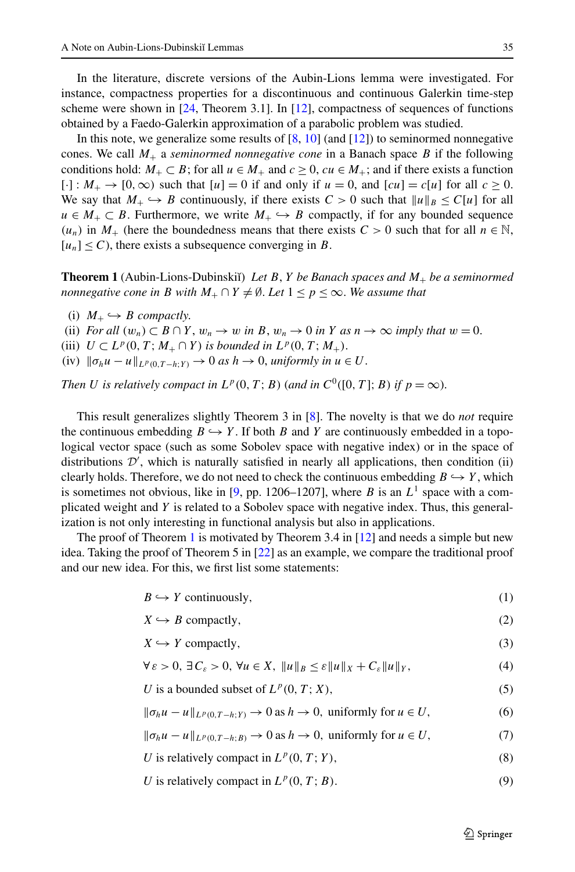In the literature, discrete versions of the Aubin-Lions lemma were investigated. For instance, compactness properties for a discontinuous and continuous Galerkin time-step scheme were shown in  $[24,$  $[24,$  $[24,$  Theorem 3.1]. In  $[12]$  $[12]$  $[12]$ , compactness of sequences of functions obtained by a Faedo-Galerkin approximation of a parabolic problem was studied.

<span id="page-2-0"></span>In this note, we generalize some results of  $[8, 10]$  $[8, 10]$  $[8, 10]$  $[8, 10]$  (and  $[12]$  $[12]$  $[12]$ ) to seminormed nonnegative cones. We call  $M_+$  a *seminormed nonnegative cone* in a Banach space *B* if the following conditions hold:  $M_+ \subset B$ ; for all  $u \in M_+$  and  $c \ge 0$ ,  $cu \in M_+$ ; and if there exists a function  $[\cdot] : M_+ \to [0, \infty)$  such that  $[u] = 0$  if and only if  $u = 0$ , and  $[cu] = c[u]$  for all  $c \ge 0$ . We say that  $M_+ \hookrightarrow B$  continuously, if there exists  $C > 0$  such that  $||u||_B \leq C[u]$  for all  $u \in M_+ \subset B$ . Furthermore, we write  $M_+ \hookrightarrow B$  compactly, if for any bounded sequence  $(u_n)$  in  $M_+$  (here the boundedness means that there exists  $C > 0$  such that for all  $n \in \mathbb{N}$ ,  $[u_n] \leq C$ , there exists a subsequence converging in *B*.

**Theorem 1** (Aubin-Lions-Dubinski˘ı) *Let B*, *Y be Banach spaces and M*<sup>+</sup> *be a seminormed nonnegative cone in B with*  $M_+ \cap Y \neq \emptyset$ . Let  $1 \leq p \leq \infty$ . We assume that

- (i)  $M_+ \hookrightarrow B$  *compactly.*
- (ii) *For all*  $(w_n) \subset B \cap Y$ ,  $w_n \to w$  *in*  $B$ ,  $w_n \to 0$  *in*  $Y$  *as*  $n \to \infty$  *imply that*  $w = 0$ .
- (iii)  $U \subset L^p(0, T; M_+ \cap Y)$  *is bounded in*  $L^p(0, T; M_+).$
- (iv)  $\|\sigma_h u u\|_{L^p(0,T-h;Y)} \to 0$  *as*  $h \to 0$ , *uniformly in*  $u \in U$ .

*Then U is relatively compact in*  $L^p(0,T;B)$  (*and in*  $C^0([0,T];B)$  *if*  $p = \infty$ ).

This result generalizes slightly Theorem 3 in [[8\]](#page-10-2). The novelty is that we do *not* require the continuous embedding  $B \hookrightarrow Y$ . If both *B* and *Y* are continuously embedded in a topological vector space (such as some Sobolev space with negative index) or in the space of distributions  $\mathcal{D}'$ , which is naturally satisfied in nearly all applications, then condition (ii) clearly holds. Therefore, we do not need to check the continuous embedding  $B \hookrightarrow Y$ , which is sometimes not obvious, like in [[9](#page-10-19), pp. 1206–1207], where *B* is an  $L^1$  space with a complicated weight and *Y* is related to a Sobolev space with negative index. Thus, this generalization is not only interesting in functional analysis but also in applications.

The proof of Theorem [1](#page-2-0) is motivated by Theorem 3.4 in  $[12]$  $[12]$  $[12]$  and needs a simple but new idea. Taking the proof of Theorem 5 in [\[22\]](#page-10-7) as an example, we compare the traditional proof and our new idea. For this, we first list some statements:

<span id="page-2-8"></span><span id="page-2-6"></span><span id="page-2-5"></span><span id="page-2-4"></span><span id="page-2-3"></span><span id="page-2-2"></span>
$$
B \hookrightarrow Y \text{ continuously},\tag{1}
$$

<span id="page-2-9"></span><span id="page-2-7"></span>
$$
X \hookrightarrow B \text{ compactly},\tag{2}
$$

$$
X \hookrightarrow Y \text{ compactly},\tag{3}
$$

$$
\forall \varepsilon > 0, \exists C_{\varepsilon} > 0, \forall u \in X, \|u\|_{B} \le \varepsilon \|u\|_{X} + C_{\varepsilon} \|u\|_{Y}, \tag{4}
$$

<span id="page-2-1"></span>*U* is a bounded subset of  $L^p(0, T; X)$ , (5)

$$
\|\sigma_h u - u\|_{L^p(0, T - h; Y)} \to 0 \text{ as } h \to 0, \text{ uniformly for } u \in U,
$$
 (6)

 $\|\sigma_h u - u\|_{L^p(0, T-h; B)} \to 0$  as  $h \to 0$ , uniformly for  $u \in U$ , (7)

- *U* is relatively compact in  $L^p(0, T; Y)$ , (8)
- *U* is relatively compact in  $L^p(0, T; B)$ . (9)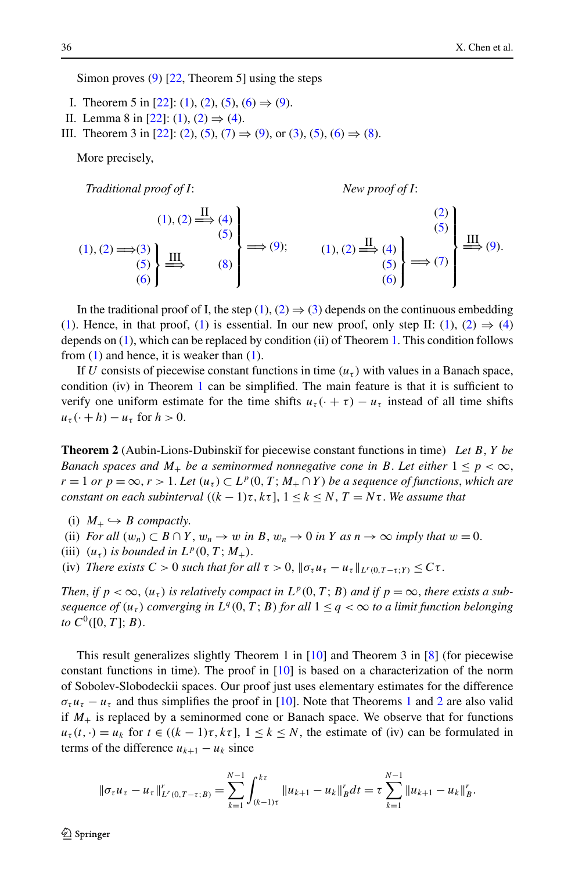Simon proves [\(9](#page-2-1)) [[22](#page-10-7), Theorem 5] using the steps

- I. Theorem 5 in [[22](#page-10-7)]: ([1](#page-2-2)), [\(2](#page-2-3)), [\(5\)](#page-2-4), ([6\)](#page-2-5)  $\Rightarrow$  ([9\)](#page-2-1).
- II. Lemma 8 in [[22](#page-10-7)]: [\(1](#page-2-2)), [\(2\)](#page-2-3) ⇒ [\(4\)](#page-2-6).
- III. Theorem 3 in [[22](#page-10-7)]: ([2](#page-2-3)), [\(5](#page-2-4)), [\(7\)](#page-2-7) ⇒ [\(9\)](#page-2-1), or [\(3\)](#page-2-8), ([5\)](#page-2-4), ([6](#page-2-5)) ⇒ [\(8](#page-2-9)).

More precisely,

*Traditional proof of I*: *New proof of I*:

<span id="page-3-0"></span>

$$
(1), (2) \Longrightarrow (3)
$$
\n
$$
(4)
$$
\n
$$
(5)
$$
\n
$$
(6)
$$
\n
$$
(7)
$$
\n
$$
(8)
$$
\n
$$
(8)
$$
\n
$$
(9)
$$
\n
$$
(1), (2) \Longrightarrow (4)
$$
\n
$$
(5)
$$
\n
$$
(5)
$$
\n
$$
(6)
$$
\n
$$
(6)
$$
\n
$$
(7)
$$

In the traditional proof of I, the step ([1](#page-2-2)), [\(2\)](#page-2-3)  $\Rightarrow$  ([3](#page-2-8)) depends on the continuous embedding ([1\)](#page-2-2). Hence, in that proof, ([1](#page-2-2)) is essential. In our new proof, only step II: (1), [\(2](#page-2-3))  $\Rightarrow$  ([4](#page-2-6)) depends on [\(1\)](#page-2-2), which can be replaced by condition (ii) of Theorem [1.](#page-2-0) This condition follows from  $(1)$  $(1)$  $(1)$  and hence, it is weaker than  $(1)$ .

If *U* consists of piecewise constant functions in time  $(u<sub>\tau</sub>)$  with values in a Banach space, condition (iv) in Theorem [1](#page-2-0) can be simplified. The main feature is that it is sufficient to verify one uniform estimate for the time shifts  $u_{\tau}(\cdot + \tau) - u_{\tau}$  instead of all time shifts  $u_{\tau}(\cdot + h) - u_{\tau}$  for  $h > 0$ .

**Theorem 2** (Aubin-Lions-Dubinski˘ı for piecewise constant functions in time) *Let B*, *Y be Banach spaces and*  $M_+$  *be a seminormed nonnegative cone in B. Let either*  $1 \leq p < \infty$ ,  $r = 1$  *or*  $p = \infty$ ,  $r > 1$ . Let  $(u_\tau) \subset L^p(0, T; M_+ \cap Y)$  be a sequence of functions, which are *constant on each subinterval*  $((k-1)\tau, k\tau]$ ,  $1 \leq k \leq N$ ,  $T = N\tau$ . We assume that

- (i)  $M_+ \hookrightarrow B$  *compactly.*
- (ii) *For all*  $(w_n) \subset B \cap Y$ ,  $w_n \to w$  *in*  $B$ ,  $w_n \to 0$  *in*  $Y$  *as*  $n \to \infty$  *imply that*  $w = 0$ .
- (iii)  $(u_{\tau})$  *is bounded in*  $L^p(0, T; M_+)$ .
- (iv) *There exists*  $C > 0$  *such that for all*  $\tau > 0$ ,  $\|\sigma_{\tau}u_{\tau} u_{\tau}\|_{L^{r}(0,T-\tau;Y)} \leq C\tau$ .

*Then, if*  $p < \infty$ ,  $(u_\tau)$  *is relatively compact in*  $L^p(0,T;B)$  *and if*  $p = \infty$ *, there exists a subsequence of*  $(u_\tau)$  *converging in*  $L^q(0,T;B)$  *for all*  $1 \leq q < \infty$  *to a limit function belonging to*  $C^0([0, T]; B)$ .

This result generalizes slightly Theorem 1 in  $[10]$  and Theorem 3 in  $[8]$  $[8]$  $[8]$  (for piecewise constant functions in time). The proof in [\[10\]](#page-10-1) is based on a characterization of the norm of Sobolev-Slobodeckii spaces. Our proof just uses elementary estimates for the difference  $\sigma_{\tau}u_{\tau} - u_{\tau}$  and thus simplifies the proof in [\[10](#page-10-1)]. Note that Theorems [1](#page-2-0) and [2](#page-3-0) are also valid if  $M_{+}$  is replaced by a seminormed cone or Banach space. We observe that for functions  $u_{\tau}(t, \cdot) = u_k$  for  $t \in ((k-1)\tau, k\tau]$ ,  $1 \leq k \leq N$ , the estimate of (iv) can be formulated in terms of the difference  $u_{k+1} - u_k$  since

$$
\|\sigma_{\tau}u_{\tau}-u_{\tau}\|_{L^{r}(0,T-\tau;B)}^{r}=\sum_{k=1}^{N-1}\int_{(k-1)\tau}^{k\tau}\|u_{k+1}-u_{k}\|_{B}^{r}dt=\tau\sum_{k=1}^{N-1}\|u_{k+1}-u_{k}\|_{B}^{r}.
$$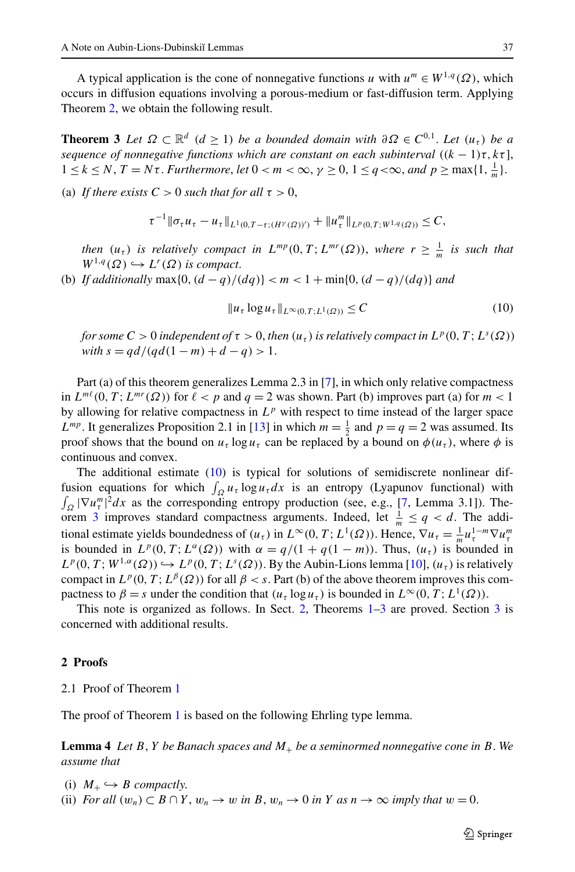<span id="page-4-1"></span>A typical application is the cone of nonnegative functions *u* with  $u^m \in W^{1,q}(\Omega)$ , which occurs in diffusion equations involving a porous-medium or fast-diffusion term. Applying Theorem [2](#page-3-0), we obtain the following result.

**Theorem 3** *Let*  $\Omega \subset \mathbb{R}^d$  ( $d \ge 1$ ) *be a bounded domain with*  $\partial \Omega \in C^{0,1}$ . *Let*  $(u_t)$  *be a sequence of nonnegative functions which are constant on each subinterval*  $((k - 1)\tau, k\tau]$ ,  $1 \leq k \leq N$ ,  $T = N\tau$ . *Furthermore*, *let*  $0 < m < \infty$ ,  $\gamma \geq 0$ ,  $1 \leq q < \infty$ , and  $p \geq \max\{1, \frac{1}{m}\}\$ .

(a) *If there exists*  $C > 0$  *such that for all*  $\tau > 0$ ,

$$
\tau^{-1} \|\sigma_\tau u_\tau - u_\tau\|_{L^1(0,T-\tau;(H^{\gamma}(\Omega))')} + \|u_\tau^m\|_{L^p(0,T;W^{1,q}(\Omega))} \leq C,
$$

*then*  $(u_\tau)$  *is relatively compact in*  $L^{mp}(0,T; L^{mr}(\Omega))$ , *where*  $r \geq \frac{1}{m}$  *is such that*  $W^{1,q}(\Omega) \hookrightarrow L^r(\Omega)$  *is compact.* 

(b) *If additionally* max $\{0, (d - q)/(dq)\} < m < 1 + min\{0, (d - q)/(dq)\}$  *and* 

<span id="page-4-0"></span>
$$
||u_{\tau} \log u_{\tau}||_{L^{\infty}(0,T;L^{1}(\Omega))} \leq C \tag{10}
$$

*for some*  $C > 0$  *independent of*  $\tau > 0$ *, then*  $(u_\tau)$  *is relatively compact in*  $L^p(0, T; L^s(\Omega))$  $with s = q d/(q d(1 - m) + d - q) > 1.$ 

Part (a) of this theorem generalizes Lemma 2.3 in [[7](#page-10-20)], in which only relative compactness in  $L^{m\ell}(0, T; L^{mr}(\Omega))$  for  $\ell < p$  and  $q = 2$  was shown. Part (b) improves part (a) for  $m < 1$ by allowing for relative compactness in  $L^p$  with respect to time instead of the larger space *L*<sup>*mp*</sup>. It generalizes Proposition 2.1 in [[13](#page-10-21)] in which  $m = \frac{1}{2}$  and  $p = q = 2$  was assumed. Its proof shows that the bound on  $u_t \log u_t$  can be replaced by a bound on  $\phi(u_t)$ , where  $\phi$  is continuous and convex.

The additional estimate [\(10\)](#page-4-0) is typical for solutions of semidiscrete nonlinear diffusion equations for which  $\int_{\Omega} u_{\tau} \log u_{\tau} dx$  is an entropy (Lyapunov functional) with  $\int_{\Omega} |\nabla u_{\tau}^{m}|^{2} dx$  as the corresponding entropy production (see, e.g., [[7,](#page-10-20) Lemma 3.1]). The-orem [3](#page-4-1) improves standard compactness arguments. Indeed, let  $\frac{1}{m} \le q < d$ . The additional estimate yields boundedness of  $(u_\tau)$  in  $L^\infty(0, T; L^1(\Omega))$ . Hence,  $\nabla u_\tau = \frac{1}{m} u_\tau^{1-m} \nabla u_\tau^m$ is bounded in  $L^p(0, T; L^{\alpha}(\Omega))$  with  $\alpha = q/(1 + q(1 - m))$ . Thus,  $(u_\tau)$  is bounded in  $L^p(0, T; W^{1,\alpha}(\Omega)) \hookrightarrow L^p(0, T; L^s(\Omega))$ . By the Aubin-Lions lemma [\[10\]](#page-10-1),  $(u_\tau)$  is relatively compact in  $L^p(0,T; L^{\beta}(\Omega))$  for all  $\beta < s$ . Part (b) of the above theorem improves this compactness to  $\beta = s$  under the condition that  $(u_\tau \log u_\tau)$  is bounded in  $L^\infty(0, T; L^1(\Omega))$ .

<span id="page-4-3"></span><span id="page-4-2"></span>This note is organized as follows. In Sect. [2,](#page-4-2) Theorems [1–](#page-2-0)[3](#page-4-1) are proved. Section [3](#page-8-0) is concerned with additional results.

#### **2 Proofs**

2.1 Proof of Theorem [1](#page-2-0)

The proof of Theorem [1](#page-2-0) is based on the following Ehrling type lemma.

**Lemma 4** *Let B*, *Y be Banach spaces and M*<sup>+</sup> *be a seminormed nonnegative cone in B*. *We assume that*

(i)  $M_+ \hookrightarrow B$  *compactly.* 

(ii) *For all*  $(w_n) \subset B \cap Y$ ,  $w_n \to w$  *in*  $B$ ,  $w_n \to 0$  *in*  $Y$  *as*  $n \to \infty$  *imply that*  $w = 0$ .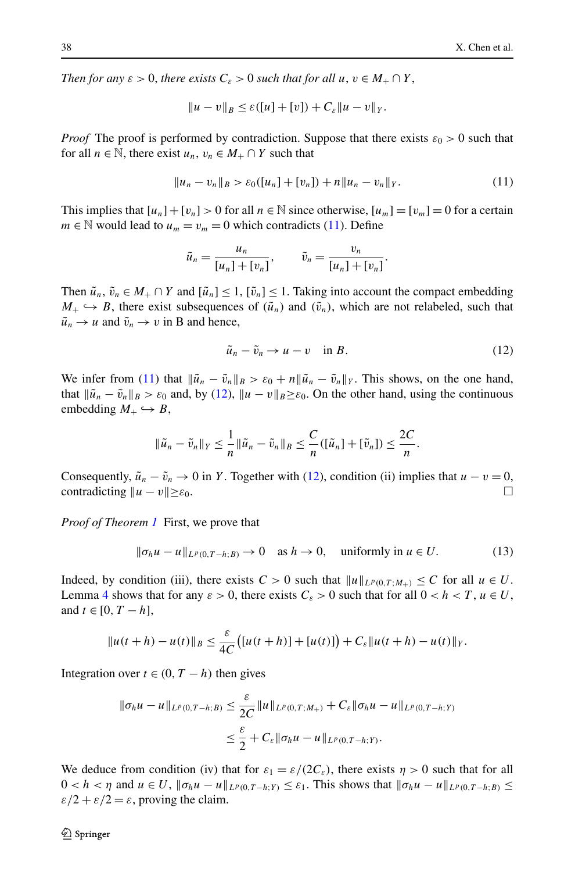*Then for any*  $\varepsilon > 0$ , *there exists*  $C_{\varepsilon} > 0$  *such that for all*  $u, v \in M_+ \cap Y$ ,

<span id="page-5-0"></span>
$$
||u - v||_B \leq \varepsilon([u] + [v]) + C_{\varepsilon} ||u - v||_Y.
$$

*Proof* The proof is performed by contradiction. Suppose that there exists  $\varepsilon_0 > 0$  such that for all  $n \in \mathbb{N}$ , there exist  $u_n, v_n \in M_+ \cap Y$  such that

$$
||u_n - v_n||_B > \varepsilon_0([u_n] + [v_n]) + n||u_n - v_n||_Y.
$$
 (11)

This implies that  $[u_n]+[v_n] > 0$  for all  $n \in \mathbb{N}$  since otherwise,  $[u_m] = [v_m] = 0$  for a certain *m*  $\in$  N would lead to *u<sub>m</sub>* = *v<sub>m</sub>* = 0 which contradicts ([11](#page-5-0)). Define

$$
\tilde{u}_n = \frac{u_n}{[u_n] + [v_n]}, \qquad \tilde{v}_n = \frac{v_n}{[u_n] + [v_n]}.
$$

Then  $\tilde{u}_n$ ,  $\tilde{v}_n \in M_+ \cap Y$  and  $|\tilde{u}_n| \leq 1$ ,  $|\tilde{v}_n| \leq 1$ . Taking into account the compact embedding  $M_+ \hookrightarrow B$ , there exist subsequences of  $(\tilde{u}_n)$  and  $(\tilde{v}_n)$ , which are not relabeled, such that  $\tilde{u}_n \to u$  and  $\tilde{v}_n \to v$  in B and hence,

<span id="page-5-2"></span><span id="page-5-1"></span>
$$
\tilde{u}_n - \tilde{v}_n \to u - v \quad \text{in } B. \tag{12}
$$

We infer from [\(11\)](#page-5-0) that  $\|\tilde{u}_n - \tilde{v}_n\|_B > \varepsilon_0 + n \|\tilde{u}_n - \tilde{v}_n\|_Y$ . This shows, on the one hand, that  $\|\tilde{u}_n - \tilde{v}_n\|_B > \varepsilon_0$  and, by ([12](#page-5-1)),  $\|u - v\|_B \ge \varepsilon_0$ . On the other hand, using the continuous embedding  $M_+ \hookrightarrow B$ ,

$$
\|\tilde{u}_n-\tilde{v}_n\|_Y\leq \frac{1}{n}\|\tilde{u}_n-\tilde{v}_n\|_B\leq \frac{C}{n}([\tilde{u}_n]+[\tilde{v}_n])\leq \frac{2C}{n}.
$$

Consequently,  $\tilde{u}_n - \tilde{v}_n \to 0$  in *Y*. Together with ([12](#page-5-1)), condition (ii) implies that  $u - v = 0$ , contradicting  $||u - v|| \geq \varepsilon_0$ .

*Proof of Theorem [1](#page-2-0)* First, we prove that

$$
\|\sigma_h u - u\|_{L^p(0,T-h;B)} \to 0 \quad \text{as } h \to 0, \quad \text{uniformly in } u \in U. \tag{13}
$$

Indeed, by condition (iii), there exists  $C > 0$  such that  $||u||_{L^p(0,T;M_+)} \leq C$  for all  $u \in U$ . Lemma [4](#page-4-3) shows that for any  $\varepsilon > 0$ , there exists  $C_{\varepsilon} > 0$  such that for all  $0 < h < T$ ,  $u \in U$ , and *t* ∈ [0, *T* − *h*],

$$
||u(t+h) - u(t)||_B \leq \frac{\varepsilon}{4C} \big( [u(t+h)] + [u(t)] \big) + C_{\varepsilon} ||u(t+h) - u(t)||_Y.
$$

Integration over  $t \in (0, T - h)$  then gives

$$
\|\sigma_h u - u\|_{L^p(0,T-h;B)} \le \frac{\varepsilon}{2C} \|u\|_{L^p(0,T;M_+)} + C_{\varepsilon} \|\sigma_h u - u\|_{L^p(0,T-h;Y)}
$$
  

$$
\le \frac{\varepsilon}{2} + C_{\varepsilon} \|\sigma_h u - u\|_{L^p(0,T-h;Y)}.
$$

We deduce from condition (iv) that for  $\varepsilon_1 = \varepsilon/(2C_{\varepsilon})$ , there exists  $\eta > 0$  such that for all  $0 < h < \eta$  and  $u \in U$ ,  $\|\sigma_h u - u\|_{L^p(0,T-h;Y)} \leq \varepsilon_1$ . This shows that  $\|\sigma_h u - u\|_{L^p(0,T-h;B)} \leq$  $\varepsilon/2 + \varepsilon/2 = \varepsilon$ , proving the claim.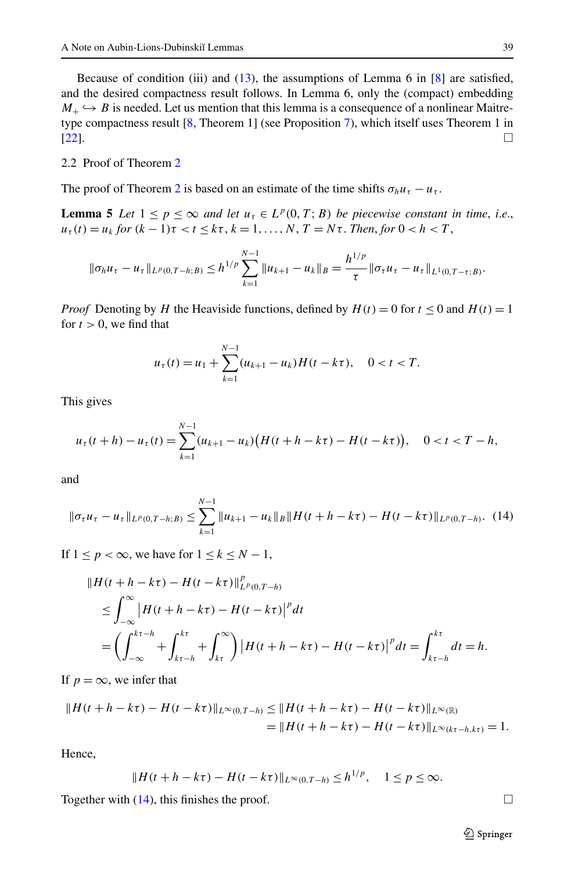<span id="page-6-1"></span>Because of condition (iii) and ([13](#page-5-2)), the assumptions of Lemma 6 in  $[8]$  $[8]$  $[8]$  are satisfied, and the desired compactness result follows. In Lemma 6, only the (compact) embedding  $M_+ \hookrightarrow B$  is needed. Let us mention that this lemma is a consequence of a nonlinear Maitretype compactness result [[8,](#page-10-2) Theorem 1] (see Proposition [7\)](#page-8-1), which itself uses Theorem 1 in  $[22]$  $[22]$  $[22]$ .

#### 2.2 Proof of Theorem [2](#page-3-0)

The proof of Theorem [2](#page-3-0) is based on an estimate of the time shifts  $\sigma_h u_\tau - u_\tau$ .

**Lemma 5** *Let*  $1 \leq p \leq \infty$  *and let*  $u_t \in L^p(0,T;B)$  *be piecewise constant in time, i.e.,*  $u_{\tau}(t) = u_k$  *for*  $(k-1)\tau < t \leq k\tau$ ,  $k = 1, ..., N$ ,  $T = N\tau$ . *Then, for*  $0 < h < T$ ,

$$
\|\sigma_h u_\tau - u_\tau\|_{L^p(0,T-h;B)} \le h^{1/p} \sum_{k=1}^{N-1} \|u_{k+1} - u_k\|_B = \frac{h^{1/p}}{\tau} \|\sigma_\tau u_\tau - u_\tau\|_{L^1(0,T-\tau;B)}.
$$

*Proof* Denoting by *H* the Heaviside functions, defined by  $H(t) = 0$  for  $t \le 0$  and  $H(t) = 1$ for  $t > 0$ , we find that

<span id="page-6-0"></span>
$$
u_{\tau}(t) = u_1 + \sum_{k=1}^{N-1} (u_{k+1} - u_k)H(t - k\tau), \quad 0 < t < T.
$$

This gives

$$
u_{\tau}(t+h)-u_{\tau}(t)=\sum_{k=1}^{N-1}(u_{k+1}-u_k)\big(H(t+h-k\tau)-H(t-k\tau)\big), \quad 0
$$

and

$$
\|\sigma_{\tau}u_{\tau}-u_{\tau}\|_{L^{p}(0,T-h;B)}\leq\sum_{k=1}^{N-1}\|u_{k+1}-u_{k}\|_{B}\|H(t+h-k\tau)-H(t-k\tau)\|_{L^{p}(0,T-h)}.\tag{14}
$$

If  $1 \leq p < \infty$ , we have for  $1 \leq k \leq N - 1$ ,

$$
\|H(t+h-k\tau) - H(t-k\tau)\|_{L^p(0,T-h)}^p \n\leq \int_{-\infty}^{\infty} |H(t+h-k\tau) - H(t-k\tau)|^p dt \n= \left(\int_{-\infty}^{k\tau-h} + \int_{k\tau}^{k\tau} + \int_{k\tau}^{\infty}\right) |H(t+h-k\tau) - H(t-k\tau)|^p dt = \int_{k\tau-h}^{k\tau} dt = h.
$$

If  $p = \infty$ , we infer that

$$
||H(t+h-k\tau)-H(t-k\tau)||_{L^{\infty}(0,T-h)} \leq ||H(t+h-k\tau)-H(t-k\tau)||_{L^{\infty}(\mathbb{R})}
$$
  
= 
$$
||H(t+h-k\tau)-H(t-k\tau)||_{L^{\infty}(k\tau-h,k\tau)} = 1.
$$

Hence,

$$
||H(t + h - k\tau) - H(t - k\tau)||_{L^{\infty}(0,T-h)} \le h^{1/p}, \quad 1 \le p \le \infty.
$$

Together with ([14](#page-6-0)), this finishes the proof.  $\Box$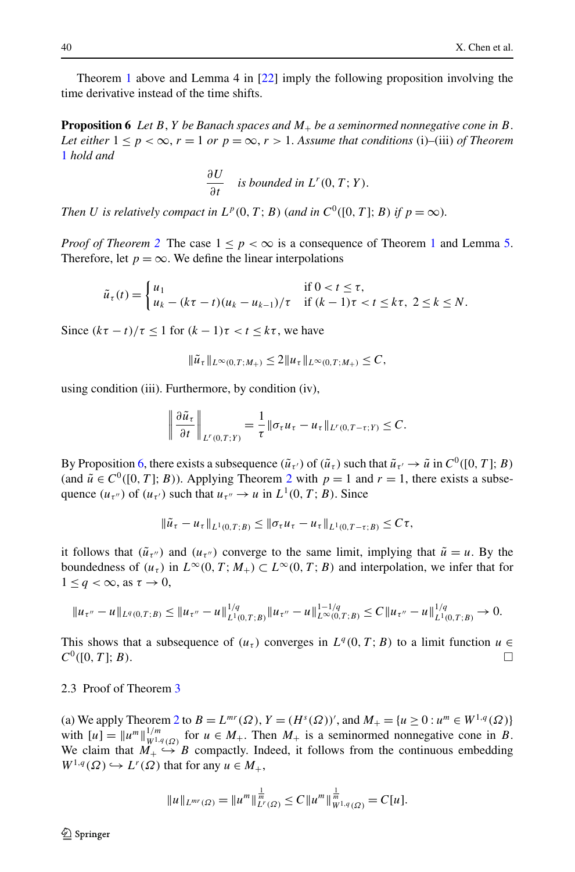<span id="page-7-0"></span>Theorem [1](#page-2-0) above and Lemma 4 in [\[22\]](#page-10-7) imply the following proposition involving the time derivative instead of the time shifts.

**Proposition 6** *Let B*, *Y be Banach spaces and M*<sup>+</sup> *be a seminormed nonnegative cone in B*. *Let either*  $1 \leq p \leq \infty$ ,  $r = 1$  *or*  $p = \infty$ ,  $r > 1$ . Assume that conditions (i)–(iii) of Theorem [1](#page-2-0) *hold and*

$$
\frac{\partial U}{\partial t}
$$
 is bounded in  $L^r(0, T; Y)$ .

*Then U is relatively compact in*  $L^p(0,T;B)$  (*and in*  $C^0([0,T];B)$  *if*  $p = \infty$ ).

*Proof of Theorem* [2](#page-3-0) The case  $1 \le p \le \infty$  $1 \le p \le \infty$  is a consequence of Theorem 1 and Lemma [5](#page-6-1). Therefore, let  $p = \infty$ . We define the linear interpolations

$$
\tilde{u}_{\tau}(t) = \begin{cases} u_1 & \text{if } 0 < t \leq \tau, \\ u_k - (k\tau - t)(u_k - u_{k-1})/\tau & \text{if } (k-1)\tau < t \leq k\tau, \ 2 \leq k \leq N. \end{cases}
$$

Since  $(k\tau - t)/\tau \leq 1$  for  $(k - 1)\tau < t \leq k\tau$ , we have

$$
\|\tilde{u}_{\tau}\|_{L^{\infty}(0,T;M_+)} \leq 2\|u_{\tau}\|_{L^{\infty}(0,T;M_+)} \leq C,
$$

using condition (iii). Furthermore, by condition (iv),

$$
\left\|\frac{\partial \tilde{u}_{\tau}}{\partial t}\right\|_{L^r(0,T;Y)} = \frac{1}{\tau} \|\sigma_{\tau} u_{\tau} - u_{\tau}\|_{L^r(0,T-\tau;Y)} \leq C.
$$

By Proposition [6](#page-7-0), there exists a subsequence  $(\tilde{u}_{\tau})$  of  $(\tilde{u}_{\tau})$  such that  $\tilde{u}_{\tau'} \to \tilde{u}$  in  $C^0([0, T]; B)$ (and  $\tilde{u} \in C^0([0, T]; B)$ ). Applying Theorem [2](#page-3-0) with  $p = 1$  and  $r = 1$ , there exists a subsequence  $(u_{\tau''})$  of  $(u_{\tau'})$  such that  $u_{\tau''} \to u$  in  $L^1(0, T; B)$ . Since

$$
\|\tilde{u}_{\tau} - u_{\tau}\|_{L^1(0,T;B)} \le \|\sigma_{\tau} u_{\tau} - u_{\tau}\|_{L^1(0,T-\tau;B)} \le C\tau,
$$

it follows that  $(\tilde{u}_{\tau})$  and  $(u_{\tau})$  converge to the same limit, implying that  $\tilde{u} = u$ . By the boundedness of  $(u_\tau)$  in  $L^\infty(0,T; M_+) \subset L^\infty(0,T; B)$  and interpolation, we infer that for  $1 \leq q < \infty$ , as  $\tau \to 0$ ,

$$
||u_{\tau''}-u||_{L^q(0,T;B)} \le ||u_{\tau''}-u||_{L^1(0,T;B)}^{1/q} ||u_{\tau''}-u||_{L^{\infty}(0,T;B)}^{1-1/q} \le C||u_{\tau''}-u||_{L^1(0,T;B)}^{1/q} \to 0.
$$

This shows that a subsequence of  $(u_\tau)$  converges in  $L^q(0,T;B)$  to a limit function  $u \in$  $C^0([0,T];B)$ .

#### 2.3 Proof of Theorem [3](#page-4-1)

(a) We apply Theorem [2](#page-3-0) to  $B = L^{mr}(\Omega)$ ,  $Y = (H^s(\Omega))'$ , and  $M_+ = \{u \ge 0 : u^m \in W^{1,q}(\Omega)\}\$ with  $[u] = ||u^m||_{W^{1,q}(\Omega)}^{1/m}$  for  $u \in M_+$ . Then  $M_+$  is a seminormed nonnegative cone in *B*. We claim that  $M_+ \hookrightarrow B$  compactly. Indeed, it follows from the continuous embedding  $W^{1,q}(\Omega) \hookrightarrow L^r(\Omega)$  that for any  $u \in M_+$ ,

$$
||u||_{L^{mr}(\Omega)} = ||u^m||_{L^r(\Omega)}^{\frac{1}{m}} \leq C||u^m||_{W^{1,q}(\Omega)}^{\frac{1}{m}} = C[u].
$$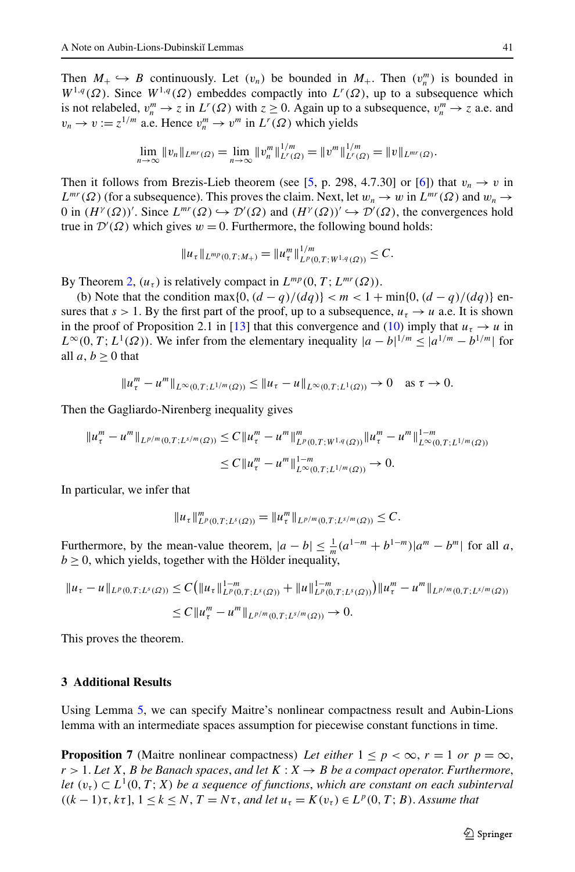Then  $M_+ \hookrightarrow B$  continuously. Let  $(v_n)$  be bounded in  $M_+$ . Then  $(v_n^m)$  is bounded in  $W^{1,q}(\Omega)$ . Since  $W^{1,q}(\Omega)$  embeddes compactly into  $L^r(\Omega)$ , up to a subsequence which is not relabeled,  $v_n^m \to z$  in  $L^r(\Omega)$  with  $z \ge 0$ . Again up to a subsequence,  $v_n^m \to z$  a.e. and  $v_n \to v := z^{1/m}$  a.e. Hence  $v_n^m \to v^m$  in  $L^r(\Omega)$  which yields

$$
\lim_{n\to\infty}||v_n||_{L^{mr}(\Omega)}=\lim_{n\to\infty}||v_n^m||_{L^r(\Omega)}^{1/m}=||v^m||_{L^r(\Omega)}^{1/m}=||v||_{L^{mr}(\Omega)}.
$$

Then it follows from Brezis-Lieb theorem (see [\[5](#page-10-22), p. 298, 4.7.30] or [[6](#page-10-23)]) that  $v_n \to v$  in  $L^{mr}(\Omega)$  (for a subsequence). This proves the claim. Next, let  $w_n \to w$  in  $L^{mr}(\Omega)$  and  $w_n \to w$  $0$  in  $(H<sup>γ</sup>(Ω))'$ . Since  $L<sup>mr</sup>(Ω)$  →  $D'(Ω)$  and  $(H<sup>γ</sup>(Ω))'$  →  $D'(Ω)$ , the convergences hold true in  $\mathcal{D}'(\Omega)$  which gives  $w = 0$ . Furthermore, the following bound holds:

$$
||u_{\tau}||_{L^{mp}(0,T;M_{+})}=||u_{\tau}^{m}||_{L^{p}(0,T;W^{1,q}(\Omega))}^{1/m}\leq C.
$$

By Theorem [2,](#page-3-0)  $(u_\tau)$  is relatively compact in  $L^{mp}(0, T; L^{mr}(\Omega))$ .

(b) Note that the condition max $\{0, (d - q)/(dq)\} < m < 1 + \min\{0, (d - q)/(dq)\}\$  ensures that  $s > 1$ . By the first part of the proof, up to a subsequence,  $u<sub>\tau</sub> \rightarrow u$  a.e. It is shown in the proof of Proposition 2.1 in [[13](#page-10-21)] that this convergence and [\(10\)](#page-4-0) imply that  $u<sub>\tau</sub> \rightarrow u$  in  $L^{\infty}(0, T; L^{1}(\Omega))$ . We infer from the elementary inequality  $|a - b|^{1/m} \leq |a^{1/m} - b^{1/m}|$  for all  $a, b > 0$  that

$$
||u_{\tau}^m - u^m||_{L^{\infty}(0,T;L^{1/m}(\Omega))} \le ||u_{\tau} - u||_{L^{\infty}(0,T;L^1(\Omega))} \to 0 \text{ as } \tau \to 0.
$$

Then the Gagliardo-Nirenberg inequality gives

$$
\|u_{\tau}^{m} - u^{m}\|_{L^{p/m}(0,T;L^{s/m}(\Omega))} \leq C \|u_{\tau}^{m} - u^{m}\|_{L^{p}(0,T;W^{1,q}(\Omega))}^{m} \|u_{\tau}^{m} - u^{m}\|_{L^{\infty}(0,T;L^{1/m}(\Omega))}^{1-m}
$$
  

$$
\leq C \|u_{\tau}^{m} - u^{m}\|_{L^{\infty}(0,T;L^{1/m}(\Omega))}^{1-m} \to 0.
$$

In particular, we infer that

<span id="page-8-1"></span>
$$
||u_{\tau}||_{L^p(0,T;L^s(\Omega))}^m = ||u_{\tau}^m||_{L^{p/m}(0,T;L^{s/m}(\Omega))} \leq C.
$$

<span id="page-8-0"></span>Furthermore, by the mean-value theorem,  $|a - b| \leq \frac{1}{m}(a^{1-m} + b^{1-m})|a^m - b^m|$  for all *a*,  $b \ge 0$ , which yields, together with the Hölder inequality,

$$
||u_{\tau} - u||_{L^{p}(0,T;L^{s}(\Omega))} \leq C (||u_{\tau}||_{L^{p}(0,T;L^{s}(\Omega))}^{1-m} + ||u||_{L^{p}(0,T;L^{s}(\Omega))}^{1-m}) ||u_{\tau}^{m} - u^{m}||_{L^{p/m}(0,T;L^{s/m}(\Omega))}
$$
  
\n
$$
\leq C ||u_{\tau}^{m} - u^{m}||_{L^{p/m}(0,T;L^{s/m}(\Omega))} \to 0.
$$

This proves the theorem.

## **3 Additional Results**

Using Lemma [5,](#page-6-1) we can specify Maitre's nonlinear compactness result and Aubin-Lions lemma with an intermediate spaces assumption for piecewise constant functions in time.

**Proposition 7** (Maitre nonlinear compactness) Let either  $1 \leq p < \infty$ ,  $r = 1$  or  $p = \infty$ ,  $r > 1$ . Let *X*, *B be Banach spaces, and let*  $K : X \rightarrow B$  *be a compact operator. Furthermore, let*  $(v_\tau) \subset L^1(0,T;X)$  *be a sequence of functions, which are constant on each subinterval*  $((k-1)\tau, k\tau]$ ,  $1 \leq k \leq N$ ,  $T = N\tau$ , and let  $u_{\tau} = K(v_{\tau}) \in L^p(0, T; B)$ . Assume that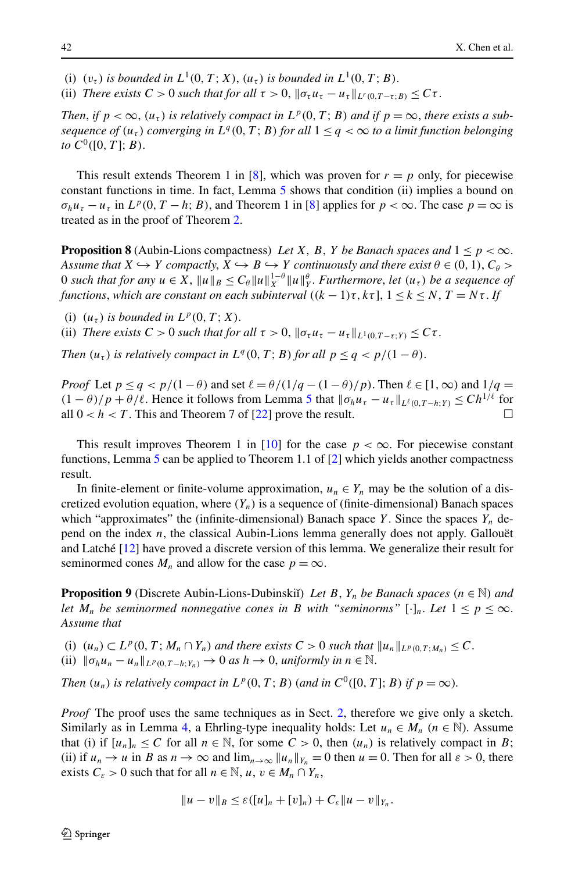- (i)  $(v_{\tau})$  *is bounded in*  $L^1(0, T; X)$ ,  $(u_{\tau})$  *is bounded in*  $L^1(0, T; B)$ .
- (ii) *There exists*  $C > 0$  *such that for all*  $\tau > 0$ ,  $\|\sigma_\tau u_\tau u_\tau\|_{L^r(0,T-\tau;B)} \leq C\tau$ .

*Then, if*  $p < \infty$ ,  $(u_\tau)$  *is relatively compact in*  $L^p(0,T;B)$  *and if*  $p = \infty$ *, there exists a subsequence of*  $(u_\tau)$  *converging in*  $L^q(0,T;B)$  *for all*  $1 \leq q < \infty$  *to a limit function belonging to*  $C^0([0, T]; B)$ .

This result extends Theorem 1 in [\[8](#page-10-2)], which was proven for  $r = p$  only, for piecewise constant functions in time. In fact, Lemma [5](#page-6-1) shows that condition (ii) implies a bound on  $\sigma_h u_\tau - u_\tau$  in  $L^p(0, T - h; B)$ , and Theorem 1 in [[8](#page-10-2)] applies for  $p < \infty$ . The case  $p = \infty$  is treated as in the proof of Theorem [2](#page-3-0).

**Proposition 8** (Aubin-Lions compactness) Let *X*, *B*, *Y* be Banach spaces and  $1 \leq p < \infty$ . *Assume that*  $X \hookrightarrow Y$  *compactly*,  $X \hookrightarrow B \hookrightarrow Y$  *continuously and there exist*  $\theta \in (0, 1)$ ,  $C_{\theta} >$ 0 *such that for any*  $u \in X$ ,  $||u||_B \leq C_\theta ||u||_X^{1-\theta} ||u||_Y^{\theta}$ . *Furthermore*, *let*  $(u_\tau)$  *be a sequence of functions, which are constant on each subinterval*  $((k-1)\tau, k\tau]$ ,  $1 \leq k \leq N$ ,  $T = N\tau$ . If

(i)  $(u_\tau)$  *is bounded in*  $L^p(0,T;X)$ .

(ii) *There exists*  $C > 0$  *such that for all*  $\tau > 0$ ,  $\|\sigma_\tau u_\tau - u_\tau\|_{L^1(0,T-\tau;Y)} \leq C\tau$ .

*Then*  $(u<sub>\tau</sub>)$  *is relatively compact in*  $L<sup>q</sup>(0,T;B)$  *for all*  $p \leq q < p/(1-\theta)$ .

*Proof* Let  $p \leq q < p/(1-\theta)$  and set  $\ell = \theta/(1/q - (1-\theta)/p)$ . Then  $\ell \in [1,\infty)$  and  $1/q =$  $(1 - \theta)/p + \theta/\ell$ . Hence it follows from Lemma [5](#page-6-1) that  $\|\sigma_h u_\tau - u_\tau\|_{L^{\ell}(0,T-h;Y)} \leq C h^{1/\ell}$  for all  $0 < h < T$ . This and Theorem 7 of [\[22\]](#page-10-7) prove the result.

This result improves Theorem 1 in [[10](#page-10-1)] for the case  $p < \infty$ . For piecewise constant functions, Lemma [5](#page-6-1) can be applied to Theorem 1.1 of  $[2]$  $[2]$  $[2]$  which yields another compactness result.

In finite-element or finite-volume approximation,  $u_n \in Y_n$  may be the solution of a discretized evolution equation, where  $(Y_n)$  is a sequence of (finite-dimensional) Banach spaces which "approximates" the (infinite-dimensional) Banach space *Y* . Since the spaces *Yn* depend on the index *n*, the classical Aubin-Lions lemma generally does not apply. Gallouët and Latché [\[12\]](#page-10-18) have proved a discrete version of this lemma. We generalize their result for seminormed cones  $M_n$  and allow for the case  $p = \infty$ .

**Proposition 9** (Discrete Aubin-Lions-Dubinskiı̆) *Let B*,  $Y_n$  *be Banach spaces*  $(n \in \mathbb{N})$  *and let*  $M_n$  *be seminormed nonnegative cones in B with "seminorms"* [·]<sub>*n*</sub>. Let  $1 \leq p \leq \infty$ . *Assume that*

(i)  $(u_n) \subset L^p(0,T; M_n \cap Y_n)$  and there exists  $C > 0$  such that  $||u_n||_{L^p(0,T; M_n)} \leq C$ . (ii)  $\|\sigma_h u_n - u_n\|_{L^p(0,T-h;Y_n)} \to 0$  *as*  $h \to 0$ , *uniformly in*  $n \in \mathbb{N}$ .

*Then*  $(u_n)$  *is relatively compact in*  $L^p(0,T;B)$  (*and in*  $C^0([0,T];B)$  *if*  $p = \infty$ ).

*Proof* The proof uses the same techniques as in Sect. [2,](#page-4-2) therefore we give only a sketch. Similarly as in Lemma [4,](#page-4-3) a Ehrling-type inequality holds: Let  $u_n \in M_n$  ( $n \in \mathbb{N}$ ). Assume that (i) if  $[u_n]_n \leq C$  for all  $n \in \mathbb{N}$ , for some  $C > 0$ , then  $(u_n)$  is relatively compact in *B*; (ii) if  $u_n \to u$  in *B* as  $n \to \infty$  and  $\lim_{n \to \infty} ||u_n||_{Y_n} = 0$  then  $u = 0$ . Then for all  $\varepsilon > 0$ , there exists  $C_{\varepsilon} > 0$  such that for all  $n \in \mathbb{N}$ ,  $u, v \in M_n \cap Y_n$ ,

$$
||u - v||_B \leq \varepsilon ( [u]_n + [v]_n ) + C_{\varepsilon} ||u - v||_{Y_n}.
$$